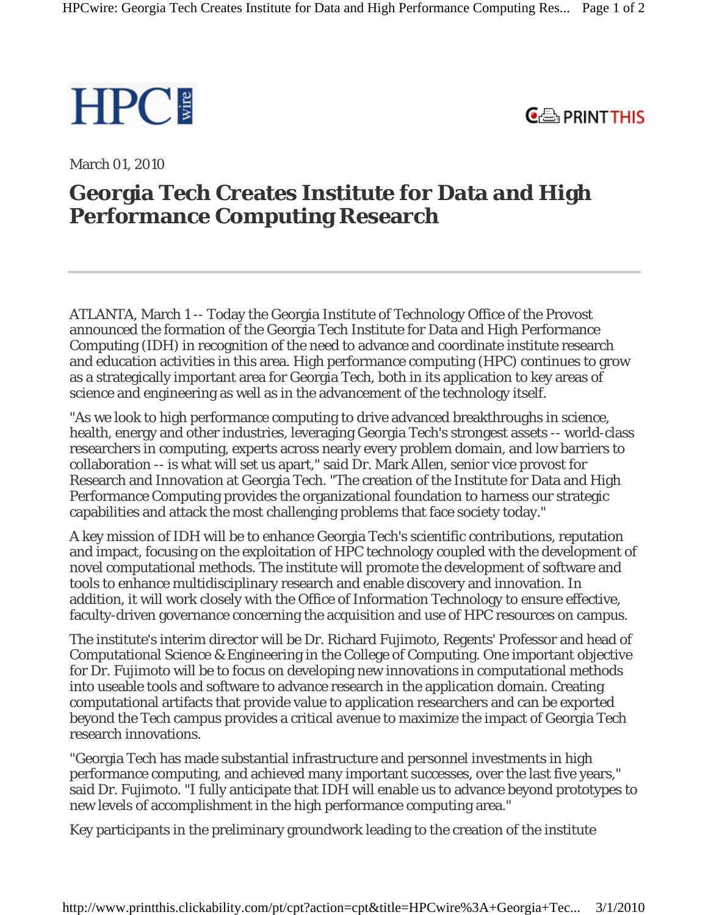

 $C \oplus$  PRINT THIS

March 01, 2010

## **Georgia Tech Creates Institute for Data and High Performance Computing Research**

ATLANTA, March 1 -- Today the Georgia Institute of Technology Office of the Provost announced the formation of the Georgia Tech Institute for Data and High Performance Computing (IDH) in recognition of the need to advance and coordinate institute research and education activities in this area. High performance computing (HPC) continues to grow as a strategically important area for Georgia Tech, both in its application to key areas of science and engineering as well as in the advancement of the technology itself.

"As we look to high performance computing to drive advanced breakthroughs in science, health, energy and other industries, leveraging Georgia Tech's strongest assets -- world-class researchers in computing, experts across nearly every problem domain, and low barriers to collaboration -- is what will set us apart," said Dr. Mark Allen, senior vice provost for Research and Innovation at Georgia Tech. "The creation of the Institute for Data and High Performance Computing provides the organizational foundation to harness our strategic capabilities and attack the most challenging problems that face society today."

A key mission of IDH will be to enhance Georgia Tech's scientific contributions, reputation and impact, focusing on the exploitation of HPC technology coupled with the development of novel computational methods. The institute will promote the development of software and tools to enhance multidisciplinary research and enable discovery and innovation. In addition, it will work closely with the Office of Information Technology to ensure effective, faculty-driven governance concerning the acquisition and use of HPC resources on campus.

The institute's interim director will be Dr. Richard Fujimoto, Regents' Professor and head of Computational Science & Engineering in the College of Computing. One important objective for Dr. Fujimoto will be to focus on developing new innovations in computational methods into useable tools and software to advance research in the application domain. Creating computational artifacts that provide value to application researchers and can be exported beyond the Tech campus provides a critical avenue to maximize the impact of Georgia Tech research innovations.

"Georgia Tech has made substantial infrastructure and personnel investments in high performance computing, and achieved many important successes, over the last five years," said Dr. Fujimoto. "I fully anticipate that IDH will enable us to advance beyond prototypes to new levels of accomplishment in the high performance computing area."

Key participants in the preliminary groundwork leading to the creation of the institute